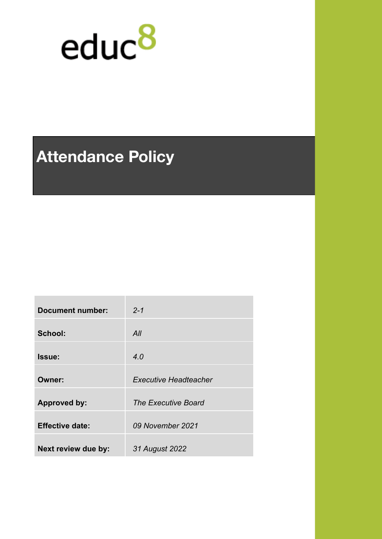

# **Attendance Policy**

| <b>Document number:</b> | $2 - 1$                      |
|-------------------------|------------------------------|
| School:                 | All                          |
| Issue:                  | 4.0                          |
| Owner:                  | <b>Executive Headteacher</b> |
| <b>Approved by:</b>     | <b>The Executive Board</b>   |
| <b>Effective date:</b>  | 09 November 2021             |
| Next review due by:     | 31 August 2022               |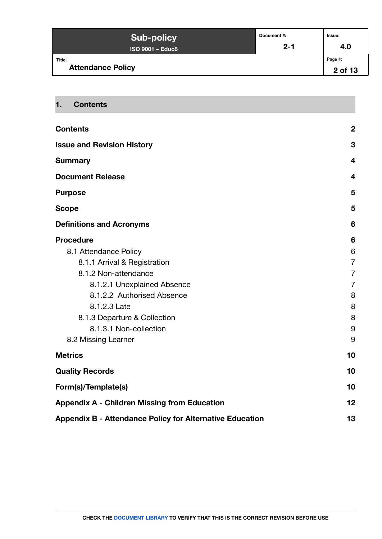| <b>Sub-policy</b>                  | Document #: | <b>Issue:</b>      |
|------------------------------------|-------------|--------------------|
| <b>ISO 9001 - Educ8</b>            | $2 - 1$     | 4.0                |
| Title:<br><b>Attendance Policy</b> |             | Page #:<br>2 of 13 |

# <span id="page-1-0"></span>**1. Contents**

| <b>Contents</b>                                                 | $\overline{2}$          |
|-----------------------------------------------------------------|-------------------------|
| <b>Issue and Revision History</b>                               | 3                       |
| <b>Summary</b>                                                  | $\overline{\mathbf{4}}$ |
| <b>Document Release</b>                                         | $\overline{\mathbf{4}}$ |
| <b>Purpose</b>                                                  | 5                       |
| <b>Scope</b>                                                    | 5                       |
| <b>Definitions and Acronyms</b>                                 | 6                       |
| <b>Procedure</b>                                                | 6                       |
| 8.1 Attendance Policy                                           | 6                       |
| 8.1.1 Arrival & Registration                                    | $\overline{7}$          |
| 8.1.2 Non-attendance                                            | $\overline{7}$          |
| 8.1.2.1 Unexplained Absence                                     | $\overline{7}$          |
| 8.1.2.2 Authorised Absence                                      | 8                       |
| 8.1.2.3 Late                                                    | 8                       |
| 8.1.3 Departure & Collection                                    | 8                       |
| 8.1.3.1 Non-collection                                          | $9\,$                   |
| 8.2 Missing Learner                                             | 9                       |
| <b>Metrics</b>                                                  | 10                      |
| <b>Quality Records</b>                                          | 10                      |
| Form(s)/Template(s)                                             | 10                      |
| <b>Appendix A - Children Missing from Education</b>             | 12                      |
| <b>Appendix B - Attendance Policy for Alternative Education</b> | 13                      |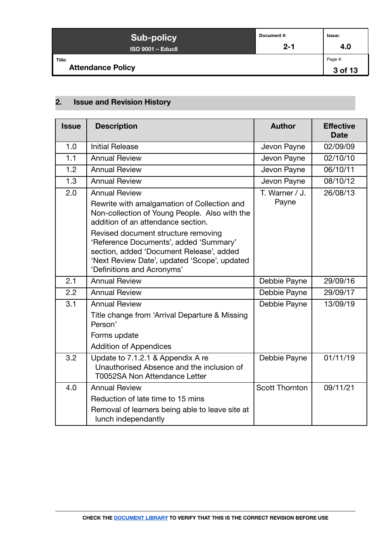| <b>Sub-policy</b>                  | Document#: | Issue:             |
|------------------------------------|------------|--------------------|
| <b>ISO 9001 - Educ8</b>            | $2 - 1$    | 4.0                |
| Title:<br><b>Attendance Policy</b> |            | Page #:<br>3 of 13 |

# <span id="page-2-0"></span>**2. Issue and Revision History**

| <b>Issue</b> | <b>Description</b>                                                                                                                                                                                                                                                                                                                                                    | <b>Author</b>           | <b>Effective</b><br><b>Date</b> |
|--------------|-----------------------------------------------------------------------------------------------------------------------------------------------------------------------------------------------------------------------------------------------------------------------------------------------------------------------------------------------------------------------|-------------------------|---------------------------------|
| 1.0          | <b>Initial Release</b>                                                                                                                                                                                                                                                                                                                                                | Jevon Payne             | 02/09/09                        |
| 1.1          | <b>Annual Review</b>                                                                                                                                                                                                                                                                                                                                                  | Jevon Payne             | 02/10/10                        |
| 1.2          | <b>Annual Review</b>                                                                                                                                                                                                                                                                                                                                                  | Jevon Payne             | 06/10/11                        |
| 1.3          | <b>Annual Review</b>                                                                                                                                                                                                                                                                                                                                                  | Jevon Payne             | 08/10/12                        |
| 2.0          | <b>Annual Review</b><br>Rewrite with amalgamation of Collection and<br>Non-collection of Young People. Also with the<br>addition of an attendance section.<br>Revised document structure removing<br>'Reference Documents', added 'Summary'<br>section, added 'Document Release', added<br>'Next Review Date', updated 'Scope', updated<br>'Definitions and Acronyms' | T. Warner / J.<br>Payne | 26/08/13                        |
| 2.1          | <b>Annual Review</b>                                                                                                                                                                                                                                                                                                                                                  | Debbie Payne            | 29/09/16                        |
| 2.2          | <b>Annual Review</b>                                                                                                                                                                                                                                                                                                                                                  | Debbie Payne            | 29/09/17                        |
| 3.1          | <b>Annual Review</b><br>Title change from 'Arrival Departure & Missing<br>Person'<br>Forms update<br><b>Addition of Appendices</b>                                                                                                                                                                                                                                    | Debbie Payne            | 13/09/19                        |
| 3.2          | Update to 7.1.2.1 & Appendix A re<br>Unauthorised Absence and the inclusion of<br><b>T0052SA Non Attendance Letter</b>                                                                                                                                                                                                                                                | Debbie Payne            | 01/11/19                        |
| 4.0          | <b>Annual Review</b><br>Reduction of late time to 15 mins<br>Removal of learners being able to leave site at                                                                                                                                                                                                                                                          | <b>Scott Thornton</b>   | 09/11/21                        |
|              | lunch independantly                                                                                                                                                                                                                                                                                                                                                   |                         |                                 |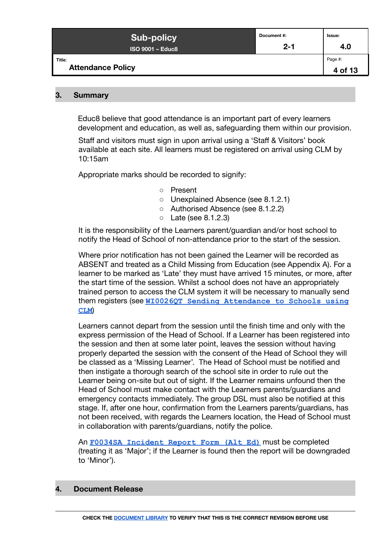| <b>Sub-policy</b>                  | Document #: | lssue:             |
|------------------------------------|-------------|--------------------|
| <b>ISO 9001 - Educ8</b>            | $2 - 1$     | 4.0                |
| Title:<br><b>Attendance Policy</b> |             | Page #:<br>4 of 13 |

#### <span id="page-3-0"></span>**3. Summary**

Educ8 believe that good attendance is an important part of every learners development and education, as well as, safeguarding them within our provision.

Staff and visitors must sign in upon arrival using a 'Staff & Visitors' book available at each site. All learners must be registered on arrival using CLM by 10:15am

Appropriate marks should be recorded to signify:

- Present
- Unexplained Absence (see 8.1.2.1)
- Authorised Absence (see 8.1.2.2)
- Late (see 8.1.2.3)

It is the responsibility of the Learners parent/guardian and/or host school to notify the Head of School of non-attendance prior to the start of the session.

Where prior notification has not been gained the Learner will be recorded as ABSENT and treated as a Child Missing from Education (see Appendix A). For a learner to be marked as 'Late' they must have arrived 15 minutes, or more, after the start time of the session. Whilst a school does not have an appropriately trained person to access the CLM system it will be necessary to manually send them registers (see **[WI0026QT Sending Attendance to](https://docs.google.com/document/d/1wv4-YDN5rHv4eOMPak-c7ouTU9K5VXDLb3q_7JiFAmc/edit) Schools using [CLM](https://docs.google.com/document/d/1wv4-YDN5rHv4eOMPak-c7ouTU9K5VXDLb3q_7JiFAmc/edit)**)

Learners cannot depart from the session until the finish time and only with the express permission of the Head of School. If a Learner has been registered into the session and then at some later point, leaves the session without having properly departed the session with the consent of the Head of School they will be classed as a 'Missing Learner'. The Head of School must be notified and then instigate a thorough search of the school site in order to rule out the Learner being on-site but out of sight. If the Learner remains unfound then the Head of School must make contact with the Learners parents/guardians and emergency contacts immediately. The group DSL must also be notified at this stage. If, after one hour, confirmation from the Learners parents/guardians, has not been received, with regards the Learners location, the Head of School must in collaboration with parents/guardians, notify the police.

An **[F0034SA Incident Report Form \(Alt Ed\)](https://form.jotformeu.com/91903780331354)** must be completed (treating it as 'Major'; if the Learner is found then the report will be downgraded to 'Minor').

#### <span id="page-3-1"></span>**4. Document Release**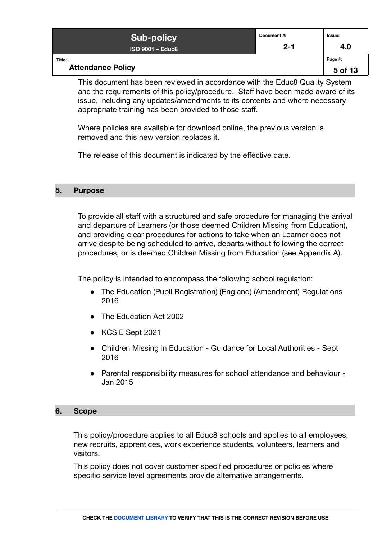| <b>Sub-policy</b>                  | Document#: | <b>Issue:</b>      |
|------------------------------------|------------|--------------------|
| <b>ISO 9001 - Educ8</b>            | $2 - 1$    | 4.0                |
| Title:<br><b>Attendance Policy</b> |            | Page #:<br>5 of 13 |

This document has been reviewed in accordance with the Educ8 Quality System and the requirements of this policy/procedure. Staff have been made aware of its issue, including any updates/amendments to its contents and where necessary appropriate training has been provided to those staff.

Where policies are available for download online, the previous version is removed and this new version replaces it.

The release of this document is indicated by the effective date.

#### <span id="page-4-0"></span>**5. Purpose**

To provide all staff with a structured and safe procedure for managing the arrival and departure of Learners (or those deemed Children Missing from Education), and providing clear procedures for actions to take when an Learner does not arrive despite being scheduled to arrive, departs without following the correct procedures, or is deemed Children Missing from Education (see Appendix A).

The policy is intended to encompass the following school regulation:

- The Education (Pupil Registration) (England) (Amendment) Regulations 2016
- The Education Act 2002
- KCSIE Sept 2021
- Children Missing in Education Guidance for Local Authorities Sept 2016
- Parental responsibility measures for school attendance and behaviour Jan 2015

#### <span id="page-4-1"></span>**6. Scope**

This policy/procedure applies to all Educ8 schools and applies to all employees, new recruits, apprentices, work experience students, volunteers, learners and visitors.

This policy does not cover customer specified procedures or policies where specific service level agreements provide alternative arrangements.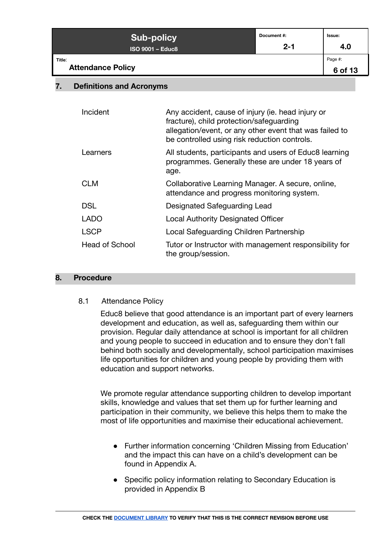| <b>Sub-policy</b>                  | Document#: | Issue:             |
|------------------------------------|------------|--------------------|
| <b>ISO 9001 - Educ8</b>            | $2 - 1$    | 4.0                |
| Title:<br><b>Attendance Policy</b> |            | Page #:<br>6 of 13 |

## <span id="page-5-0"></span>**7. Definitions and Acronyms**

| Incident              | Any accident, cause of injury (ie. head injury or<br>fracture), child protection/safeguarding<br>allegation/event, or any other event that was failed to<br>be controlled using risk reduction controls. |
|-----------------------|----------------------------------------------------------------------------------------------------------------------------------------------------------------------------------------------------------|
| Learners              | All students, participants and users of Educ8 learning<br>programmes. Generally these are under 18 years of<br>age.                                                                                      |
| <b>CLM</b>            | Collaborative Learning Manager. A secure, online,<br>attendance and progress monitoring system.                                                                                                          |
| <b>DSL</b>            | Designated Safeguarding Lead                                                                                                                                                                             |
| <b>LADO</b>           | <b>Local Authority Designated Officer</b>                                                                                                                                                                |
| <b>LSCP</b>           | Local Safeguarding Children Partnership                                                                                                                                                                  |
| <b>Head of School</b> | Tutor or Instructor with management responsibility for<br>the group/session.                                                                                                                             |

### <span id="page-5-2"></span><span id="page-5-1"></span>**8. Procedure**

#### 8.1 Attendance Policy

Educ8 believe that good attendance is an important part of every learners development and education, as well as, safeguarding them within our provision. Regular daily attendance at school is important for all children and young people to succeed in education and to ensure they don't fall behind both socially and developmentally, school participation maximises life opportunities for children and young people by providing them with education and support networks.

We promote regular attendance supporting children to develop important skills, knowledge and values that set them up for further learning and participation in their community, we believe this helps them to make the most of life opportunities and maximise their educational achievement.

- Further information concerning 'Children Missing from Education' and the impact this can have on a child's development can be found in Appendix A.
- Specific policy information relating to Secondary Education is provided in Appendix B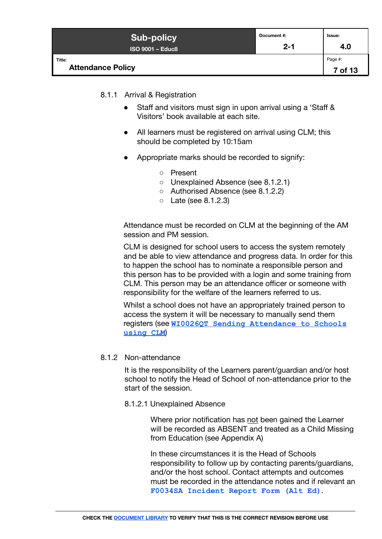| <b>Sub-policy</b>                  | Document #: | Issue:             |
|------------------------------------|-------------|--------------------|
| <b>ISO 9001 - Educ8</b>            | $2 - 1$     | 4.0                |
| Title:<br><b>Attendance Policy</b> |             | Page #:<br>7 of 13 |

## <span id="page-6-0"></span>8.1.1 Arrival & Registration

- Staff and visitors must sign in upon arrival using a 'Staff & Visitors' book available at each site.
- All learners must be registered on arrival using CLM; this should be completed by 10:15am
- Appropriate marks should be recorded to signify:
	- Present
	- Unexplained Absence (see 8.1.2.1)
	- Authorised Absence (see 8.1.2.2)
	- Late (see 8.1.2.3)

Attendance must be recorded on CLM at the beginning of the AM session and PM session.

CLM is designed for school users to access the system remotely and be able to view attendance and progress data. In order for this to happen the school has to nominate a responsible person and this person has to be provided with a login and some training from CLM. This person may be an attendance officer or someone with responsibility for the welfare of the learners referred to us.

Whilst a school does not have an appropriately trained person to access the system it will be necessary to manually send them registers (see **[WI0026QT Sending Attendance to Schools](https://docs.google.com/document/d/1wv4-YDN5rHv4eOMPak-c7ouTU9K5VXDLb3q_7JiFAmc/edit) [using CLM](https://docs.google.com/document/d/1wv4-YDN5rHv4eOMPak-c7ouTU9K5VXDLb3q_7JiFAmc/edit)**)

### <span id="page-6-2"></span><span id="page-6-1"></span>8.1.2 Non-attendance

It is the responsibility of the Learners parent/guardian and/or host school to notify the Head of School of non-attendance prior to the start of the session.

8.1.2.1 Unexplained Absence

Where prior notification has not been gained the Learner will be recorded as ABSENT and treated as a Child Missing from Education (see Appendix A)

In these circumstances it is the Head of Schools responsibility to follow up by contacting parents/guardians, and/or the host school. Contact attempts and outcomes must be recorded in the attendance notes and if relevant an **[F0034SA Incident Report Form \(Alt Ed\)](https://form.jotformeu.com/91903780331354)**.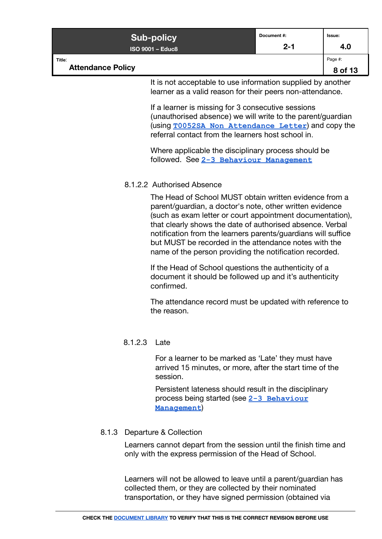| <b>Sub-policy</b>                  | Document#: | Issue:             |
|------------------------------------|------------|--------------------|
| <b>ISO 9001 - Educ8</b>            | $2 - 1$    | 4.0                |
| Title:<br><b>Attendance Policy</b> |            | Page #:<br>8 of 13 |

It is not acceptable to use information supplied by another learner as a valid reason for their peers non-attendance.

If a learner is missing for 3 consecutive sessions (unauthorised absence) we will write to the parent/guardian (using **[T0052SA Non Attendance Letter](https://docs.google.com/document/d/1D3xHUiYxClpntWpxU5qPNAvGV47kPKJZSsGLyDCSw-M/edit)**) and copy the referral contact from the learners host school in.

Where applicable the disciplinary process should be followed. See **[2-3 Behaviour Management](https://docs.google.com/document/d/1GeZccDQNv2Cnh19kuObfsseREYLRitiJISo1flObu8Q/edit)**

#### <span id="page-7-0"></span>8.1.2.2 Authorised Absence

The Head of School MUST obtain written evidence from a parent/guardian, a doctor's note, other written evidence (such as exam letter or court appointment documentation), that clearly shows the date of authorised absence. Verbal notification from the learners parents/guardians will suffice but MUST be recorded in the attendance notes with the name of the person providing the notification recorded.

If the Head of School questions the authenticity of a document it should be followed up and it's authenticity confirmed.

The attendance record must be updated with reference to the reason.

# <span id="page-7-1"></span>8.1.2.3 Late

For a learner to be marked as 'Late' they must have arrived 15 minutes, or more, after the start time of the session.

Persistent lateness should result in the disciplinary process being started (see **[2-3 Behaviour](https://docs.google.com/document/d/1GeZccDQNv2Cnh19kuObfsseREYLRitiJISo1flObu8Q/edit) [Management](https://docs.google.com/document/d/1GeZccDQNv2Cnh19kuObfsseREYLRitiJISo1flObu8Q/edit)**)

# <span id="page-7-2"></span>8.1.3 Departure & Collection

Learners cannot depart from the session until the finish time and only with the express permission of the Head of School.

Learners will not be allowed to leave until a parent/guardian has collected them, or they are collected by their nominated transportation, or they have signed permission (obtained via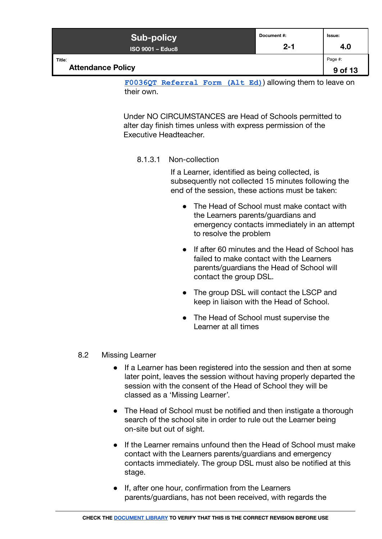| <b>Sub-policy</b>                  | Document #: | Issue:             |
|------------------------------------|-------------|--------------------|
| <b>ISO 9001 - Educ8</b>            | $2 - 1$     | 4.0                |
| Title:<br><b>Attendance Policy</b> |             | Page #:<br>9 of 13 |

**[F0036QT Referral Form \(Alt Ed\)](https://www.educ8group.com/refer-a-student)**) allowing them to leave on their own.

<span id="page-8-0"></span>Under NO CIRCUMSTANCES are Head of Schools permitted to alter day finish times unless with express permission of the Executive Headteacher.

#### 8.1.3.1 Non-collection

If a Learner, identified as being collected, is subsequently not collected 15 minutes following the end of the session, these actions must be taken:

- The Head of School must make contact with the Learners parents/guardians and emergency contacts immediately in an attempt to resolve the problem
- If after 60 minutes and the Head of School has failed to make contact with the Learners parents/guardians the Head of School will contact the group DSL.
- The group DSL will contact the LSCP and keep in liaison with the Head of School.
- The Head of School must supervise the Learner at all times

# <span id="page-8-1"></span>8.2 Missing Learner

- If a Learner has been registered into the session and then at some later point, leaves the session without having properly departed the session with the consent of the Head of School they will be classed as a 'Missing Learner'.
- The Head of School must be notified and then instigate a thorough search of the school site in order to rule out the Learner being on-site but out of sight.
- If the Learner remains unfound then the Head of School must make contact with the Learners parents/guardians and emergency contacts immediately. The group DSL must also be notified at this stage.
- If, after one hour, confirmation from the Learners parents/guardians, has not been received, with regards the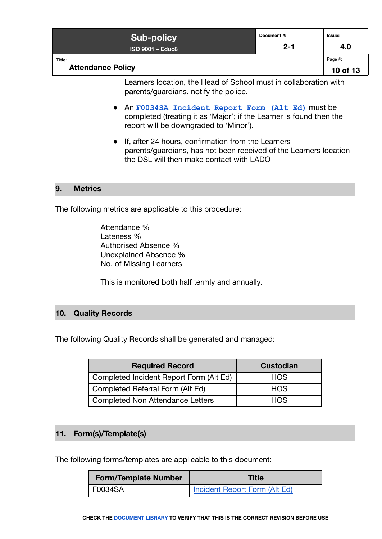| <b>Sub-policy</b>                  | Document#: | Issue:              |
|------------------------------------|------------|---------------------|
| <b>ISO 9001 - Educ8</b>            | $2 - 1$    | 4.0                 |
| Title:<br><b>Attendance Policy</b> |            | Page #:<br>10 of 13 |

Learners location, the Head of School must in collaboration with parents/guardians, notify the police.

- An **[F0034SA Incident Report Form \(Alt Ed\)](https://form.jotformeu.com/91903780331354)** must be completed (treating it as 'Major'; if the Learner is found then the report will be downgraded to 'Minor').
- If, after 24 hours, confirmation from the Learners parents/guardians, has not been received of the Learners location the DSL will then make contact with LADO

#### <span id="page-9-0"></span>**9. Metrics**

The following metrics are applicable to this procedure:

Attendance % Lateness % Authorised Absence % Unexplained Absence % No. of Missing Learners

This is monitored both half termly and annually.

#### <span id="page-9-1"></span>**10. Quality Records**

The following Quality Records shall be generated and managed:

| <b>Required Record</b>                  | <b>Custodian</b> |  |
|-----------------------------------------|------------------|--|
| Completed Incident Report Form (Alt Ed) | <b>HOS</b>       |  |
| Completed Referral Form (Alt Ed)        | <b>HOS</b>       |  |
| Completed Non Attendance Letters        | <b>HOS</b>       |  |

#### <span id="page-9-2"></span>**11. Form(s)/Template(s)**

The following forms/templates are applicable to this document:

| <b>Form/Template Number</b> | Title                                |
|-----------------------------|--------------------------------------|
| ' F0034SA                   | <b>Incident Report Form (Alt Ed)</b> |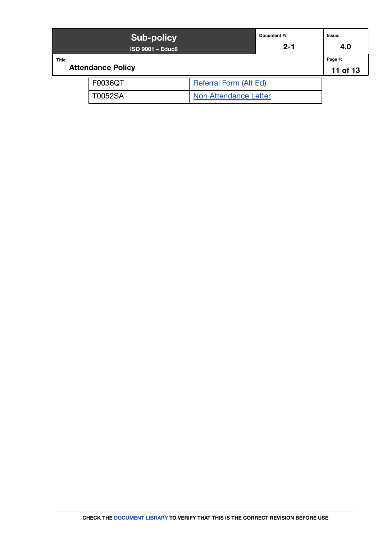|        | <b>Sub-policy</b><br><b>ISO 9001 - Educ8</b> |                               | Document #:<br>$2 - 1$ | Issue:<br>4.0       |
|--------|----------------------------------------------|-------------------------------|------------------------|---------------------|
| Title: | <b>Attendance Policy</b>                     |                               |                        | Page #:<br>11 of 13 |
|        | F0036QT                                      | <b>Referral Form (Alt Ed)</b> |                        |                     |
|        | T0052SA                                      | <b>Non Attendance Letter</b>  |                        |                     |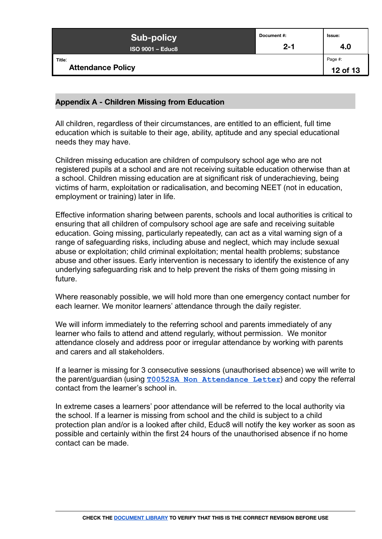| <b>Sub-policy</b>                  | Document #: | Issue:              |
|------------------------------------|-------------|---------------------|
| <b>ISO 9001 - Educ8</b>            | $2 - 1$     | 4.0                 |
| Title:<br><b>Attendance Policy</b> |             | Page #:<br>12 of 13 |

#### <span id="page-11-0"></span>**Appendix A - Children Missing from Education**

All children, regardless of their circumstances, are entitled to an efficient, full time education which is suitable to their age, ability, aptitude and any special educational needs they may have.

Children missing education are children of compulsory school age who are not registered pupils at a school and are not receiving suitable education otherwise than at a school. Children missing education are at significant risk of underachieving, being victims of harm, exploitation or radicalisation, and becoming NEET (not in education, employment or training) later in life.

Effective information sharing between parents, schools and local authorities is critical to ensuring that all children of compulsory school age are safe and receiving suitable education. Going missing, particularly repeatedly, can act as a vital warning sign of a range of safeguarding risks, including abuse and neglect, which may include sexual abuse or exploitation; child criminal exploitation; mental health problems; substance abuse and other issues. Early intervention is necessary to identify the existence of any underlying safeguarding risk and to help prevent the risks of them going missing in future.

Where reasonably possible, we will hold more than one emergency contact number for each learner. We monitor learners' attendance through the daily register.

We will inform immediately to the referring school and parents immediately of any learner who fails to attend and attend regularly, without permission. We monitor attendance closely and address poor or irregular attendance by working with parents and carers and all stakeholders.

If a learner is missing for 3 consecutive sessions (unauthorised absence) we will write to the parent/guardian (using **[T0052SA Non Attendance](https://docs.google.com/document/d/1D3xHUiYxClpntWpxU5qPNAvGV47kPKJZSsGLyDCSw-M/edit) Letter**) and copy the referral contact from the learner's school in.

In extreme cases a learners' poor attendance will be referred to the local authority via the school. If a learner is missing from school and the child is subject to a child protection plan and/or is a looked after child, Educ8 will notify the key worker as soon as possible and certainly within the first 24 hours of the unauthorised absence if no home contact can be made.